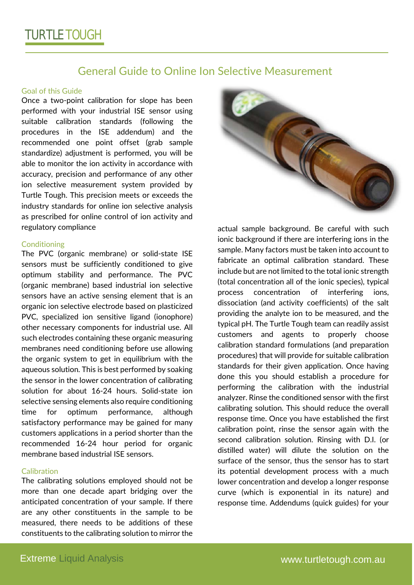# General Guide to Online Ion Selective Measurement

#### Goal of this Guide

Once a two-point calibration for slope has been performed with your industrial ISE sensor using suitable calibration standards (following the procedures in the ISE addendum) and the recommended one point offset (grab sample standardize) adjustment is performed, you will be able to monitor the ion activity in accordance with accuracy, precision and performance of any other ion selective measurement system provided by Turtle Tough. This precision meets or exceeds the industry standards for online ion selective analysis as prescribed for online control of ion activity and regulatory compliance

#### **Conditioning**

The PVC (organic membrane) or solid-state ISE sensors must be sufficiently conditioned to give optimum stability and performance. The PVC (organic membrane) based industrial ion selective sensors have an active sensing element that is an organic ion selective electrode based on plasticized PVC, specialized ion sensitive ligand (ionophore) other necessary components for industrial use. All such electrodes containing these organic measuring membranes need conditioning before use allowing the organic system to get in equilibrium with the aqueous solution. This is best performed by soaking the sensor in the lower concentration of calibrating solution for about 16-24 hours. Solid-state ion selective sensing elements also require conditioning time for optimum performance, although satisfactory performance may be gained for many customers applications in a period shorter than the recommended 16-24 hour period for organic membrane based industrial ISE sensors.

#### Calibration

The calibrating solutions employed should not be more than one decade apart bridging over the anticipated concentration of your sample. If there are any other constituents in the sample to be measured, there needs to be additions of these constituents to the calibrating solution to mirror the



actual sample background. Be careful with such ionic background if there are interfering ions in the sample. Many factors must be taken into account to fabricate an optimal calibration standard. These include but are not limited to the total ionic strength (total concentration all of the ionic species), typical process concentration of interfering ions, dissociation (and activity coefficients) of the salt providing the analyte ion to be measured, and the typical pH. The Turtle Tough team can readily assist customers and agents to properly choose calibration standard formulations (and preparation procedures) that will provide for suitable calibration standards for their given application. Once having done this you should establish a procedure for performing the calibration with the industrial analyzer. Rinse the conditioned sensor with the first calibrating solution. This should reduce the overall response time. Once you have established the first calibration point, rinse the sensor again with the second calibration solution. Rinsing with D.I. (or distilled water) will dilute the solution on the surface of the sensor, thus the sensor has to start its potential development process with a much lower concentration and develop a longer response curve (which is exponential in its nature) and response time. Addendums (quick guides) for your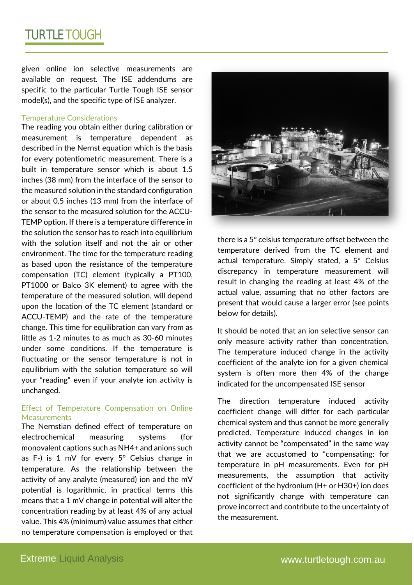given online ion selective measurements are available on request. The ISE addendums are specific to the particular Turtle Tough ISE sensor model(s), and the specific type of ISE analyzer.

#### Temperature Considerations

The reading you obtain either during calibration or measurement is temperature dependent as described in the Nernst equation which is the basis for every potentiometric measurement. There is a built in temperature sensor which is about 1.5 inches (38 mm) from the interface of the sensor to the measured solution in the standard configuration or about 0.5 inches (13 mm) from the interface of the sensor to the measured solution for the ACCU-TEMP option. If there is a temperature difference in the solution the sensor has to reach into equilibrium with the solution itself and not the air or other environment. The time for the temperature reading as based upon the resistance of the temperature compensation (TC) element (typically a PT100, PT1000 or Balco 3K element) to agree with the temperature of the measured solution, will depend upon the location of the TC element (standard or ACCU-TEMP) and the rate of the temperature change. This time for equilibration can vary from as little as 1-2 minutes to as much as 30-60 minutes under some conditions. If the temperature is fluctuating or the sensor temperature is not in equilibrium with the solution temperature so will your "reading" even if your analyte ion activity is unchanged.

### Effect of Temperature Compensation on Online **Measurements**

The Nernstian defined effect of temperature on electrochemical measuring systems (for monovalent captions such as NH4+ and anions such as F-) is 1 mV for every  $5^{\circ}$  Celsius change in temperature. As the relationship between the activity of any analyte (measured) ion and the mV potential is logarithmic, in practical terms this means that a 1 mV change in potential will alter the concentration reading by at least 4% of any actual value. This 4% (minimum) value assumes that either no temperature compensation is employed or that



there is a 5° celsius temperature offset between the temperature derived from the TC element and actual temperature. Simply stated, a 5° Celsius discrepancy in temperature measurement will result in changing the reading at least 4% of the actual value, assuming that no other factors are present that would cause a larger error (see points below for details).

It should be noted that an ion selective sensor can only measure activity rather than concentration. The temperature induced change in the activity coefficient of the analyte ion for a given chemical system is often more then 4% of the change indicated for the uncompensated ISE sensor

The direction temperature induced activity coefficient change will differ for each particular chemical system and thus cannot be more generally predicted. Temperature induced changes in ion activity cannot be "compensated" in the same way that we are accustomed to "compensating: for temperature in pH measurements. Even for pH measurements, the assumption that activity coefficient of the hydronium (H+ or H30+) ion does not significantly change with temperature can prove incorrect and contribute to the uncertainty of the measurement.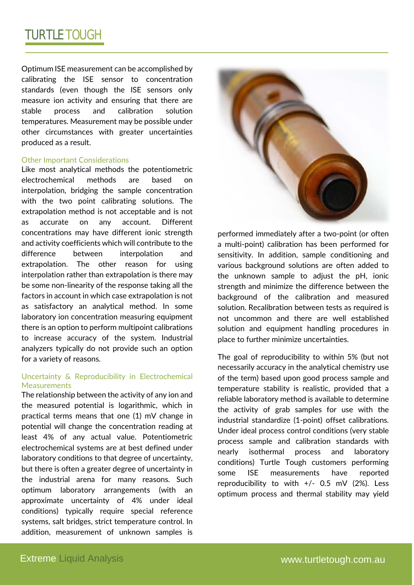# TURTLE TOUGH

Optimum ISE measurement can be accomplished by calibrating the ISE sensor to concentration standards (even though the ISE sensors only measure ion activity and ensuring that there are stable process and calibration solution temperatures. Measurement may be possible under other circumstances with greater uncertainties produced as a result.

#### Other Important Considerations

Like most analytical methods the potentiometric electrochemical methods are based on interpolation, bridging the sample concentration with the two point calibrating solutions. The extrapolation method is not acceptable and is not as accurate on any account. Different concentrations may have different ionic strength and activity coefficients which will contribute to the difference between interpolation and extrapolation. The other reason for using interpolation rather than extrapolation is there may be some non-linearity of the response taking all the factors in account in which case extrapolation is not as satisfactory an analytical method. In some laboratory ion concentration measuring equipment there is an option to perform multipoint calibrations to increase accuracy of the system. Industrial analyzers typically do not provide such an option for a variety of reasons.

## Uncertainty & Reproducibility in Electrochemical **Measurements**

The relationship between the activity of any ion and the measured potential is logarithmic, which in practical terms means that one (1) mV change in potential will change the concentration reading at least 4% of any actual value. Potentiometric electrochemical systems are at best defined under laboratory conditions to that degree of uncertainty, but there is often a greater degree of uncertainty in the industrial arena for many reasons. Such optimum laboratory arrangements (with an approximate uncertainty of 4% under ideal conditions) typically require special reference systems, salt bridges, strict temperature control. In addition, measurement of unknown samples is



performed immediately after a two-point (or often a multi-point) calibration has been performed for sensitivity. In addition, sample conditioning and various background solutions are often added to the unknown sample to adjust the pH, ionic strength and minimize the difference between the background of the calibration and measured solution. Recalibration between tests as required is not uncommon and there are well established solution and equipment handling procedures in place to further minimize uncertainties.

The goal of reproducibility to within 5% (but not necessarily accuracy in the analytical chemistry use of the term) based upon good process sample and temperature stability is realistic, provided that a reliable laboratory method is available to determine the activity of grab samples for use with the industrial standardize (1-point) offset calibrations. Under ideal process control conditions (very stable process sample and calibration standards with nearly isothermal process and laboratory conditions) Turtle Tough customers performing some ISE measurements have reported reproducibility to with  $+/-$  0.5 mV (2%). Less optimum process and thermal stability may yield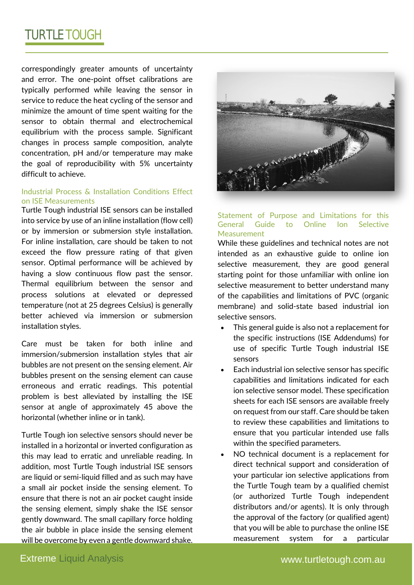# TURTLE TOUGH

correspondingly greater amounts of uncertainty and error. The one-point offset calibrations are typically performed while leaving the sensor in service to reduce the heat cycling of the sensor and minimize the amount of time spent waiting for the sensor to obtain thermal and electrochemical equilibrium with the process sample. Significant changes in process sample composition, analyte concentration, pH and/or temperature may make the goal of reproducibility with 5% uncertainty difficult to achieve.

### Industrial Process & Installation Conditions Effect on ISE Measurements

Turtle Tough industrial ISE sensors can be installed into service by use of an inline installation (flow cell) or by immersion or submersion style installation. For inline installation, care should be taken to not exceed the flow pressure rating of that given sensor. Optimal performance will be achieved by having a slow continuous flow past the sensor. Thermal equilibrium between the sensor and process solutions at elevated or depressed temperature (not at 25 degrees Celsius) is generally better achieved via immersion or submersion installation styles.

Care must be taken for both inline and immersion/submersion installation styles that air bubbles are not present on the sensing element. Air bubbles present on the sensing element can cause erroneous and erratic readings. This potential problem is best alleviated by installing the ISE sensor at angle of approximately 45 above the horizontal (whether inline or in tank).

Turtle Tough ion selective sensors should never be installed in a horizontal or inverted configuration as this may lead to erratic and unreliable reading. In addition, most Turtle Tough industrial ISE sensors are liquid or semi-liquid filled and as such may have a small air pocket inside the sensing element. To ensure that there is not an air pocket caught inside the sensing element, simply shake the ISE sensor gently downward. The small capillary force holding the air bubble in place inside the sensing element will be overcome by even a gentle downward shake.



### Statement of Purpose and Limitations for this General Guide to Online Ion Selective **Measurement**

While these guidelines and technical notes are not intended as an exhaustive guide to online ion selective measurement, they are good general starting point for those unfamiliar with online ion selective measurement to better understand many of the capabilities and limitations of PVC (organic membrane) and solid-state based industrial ion selective sensors.

- This general guide is also not a replacement for the specific instructions (ISE Addendums) for use of specific Turtle Tough industrial ISE sensors
- Each industrial ion selective sensor has specific capabilities and limitations indicated for each ion selective sensor model. These specification sheets for each ISE sensors are available freely on request from our staff. Care should be taken to review these capabilities and limitations to ensure that you particular intended use falls within the specified parameters.
- NO technical document is a replacement for direct technical support and consideration of your particular ion selective applications from the Turtle Tough team by a qualified chemist (or authorized Turtle Tough independent distributors and/or agents). It is only through the approval of the factory (or qualified agent) that you will be able to purchase the online ISE measurement system for a particular